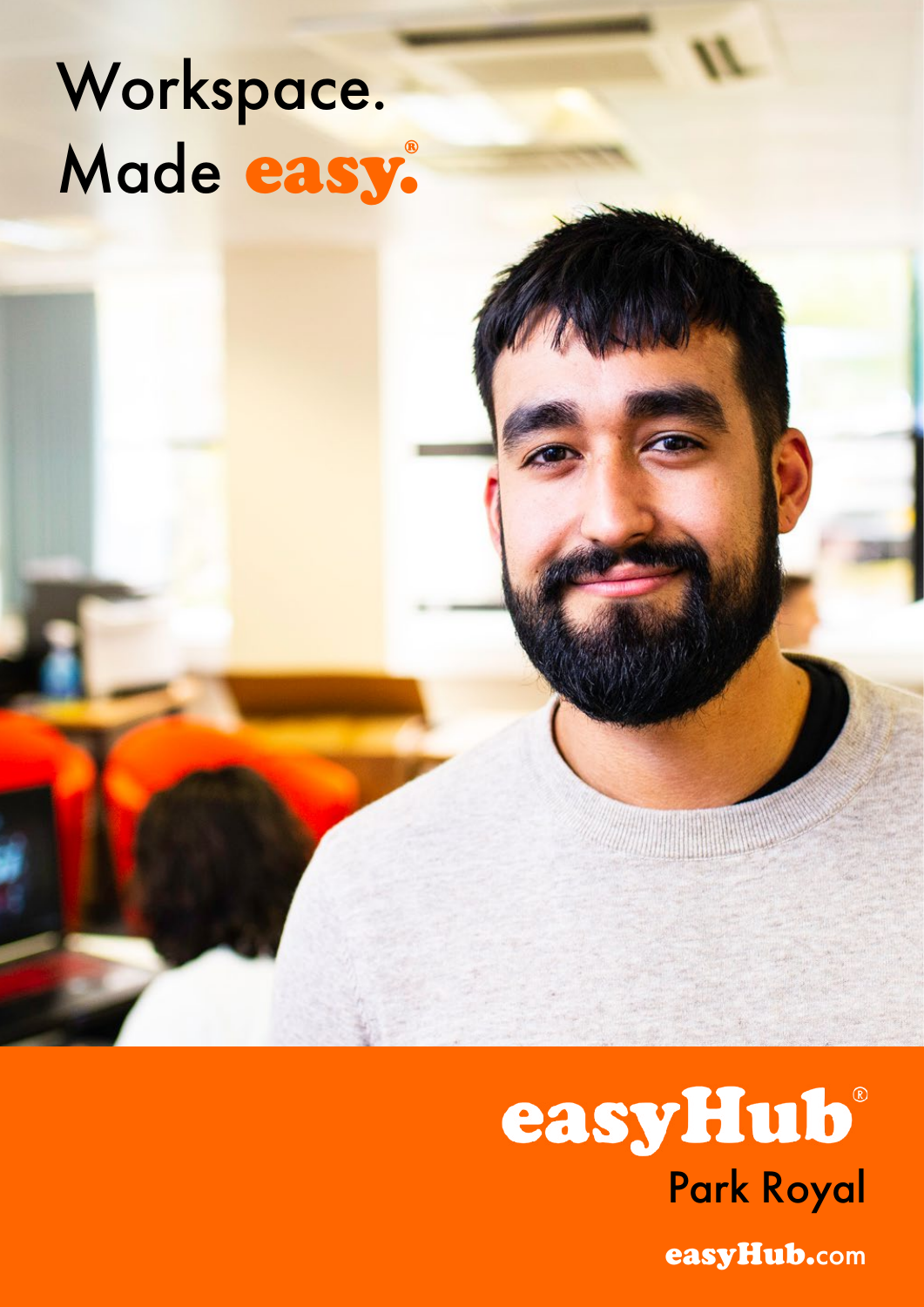# Workspace. Made easy.

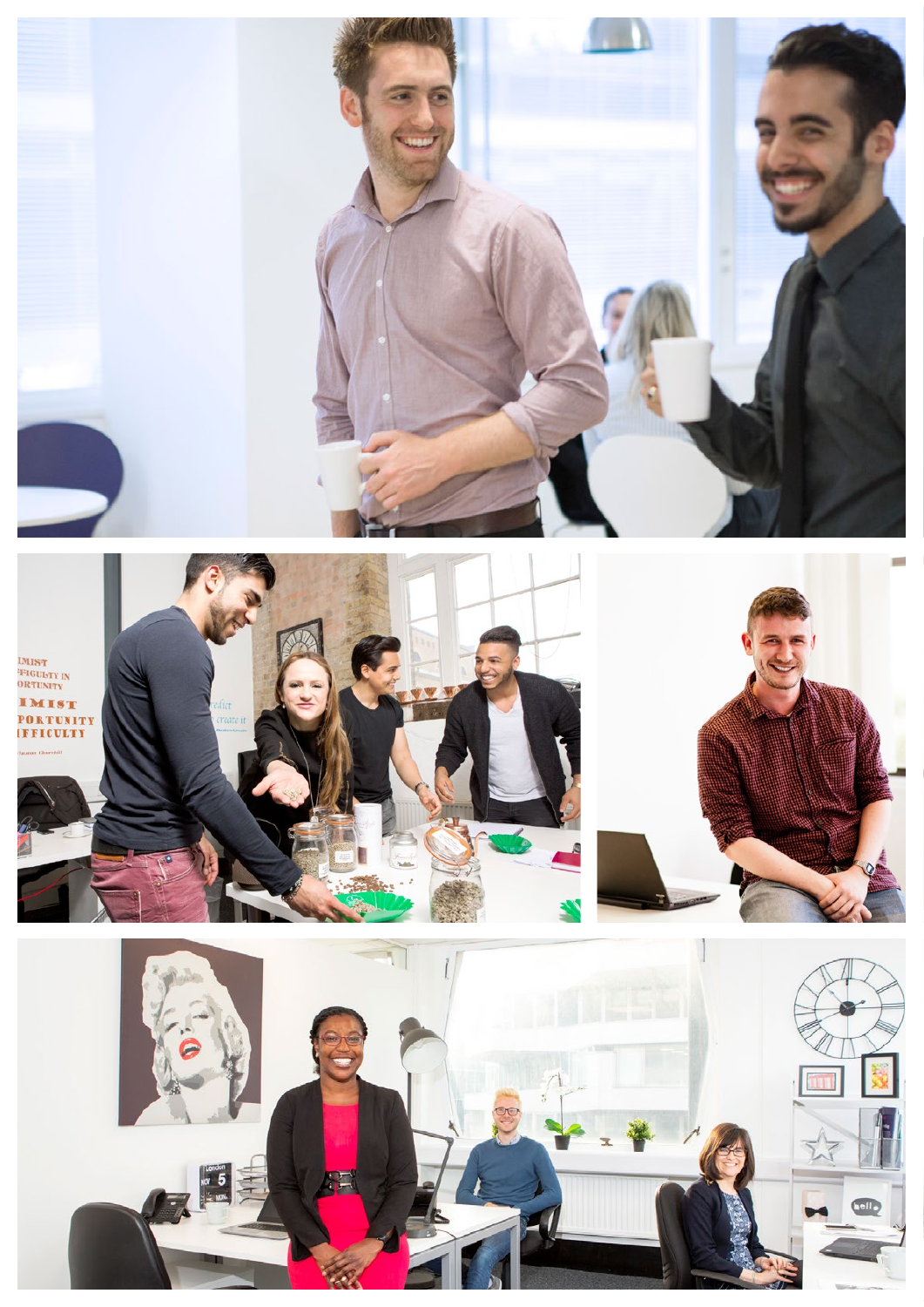



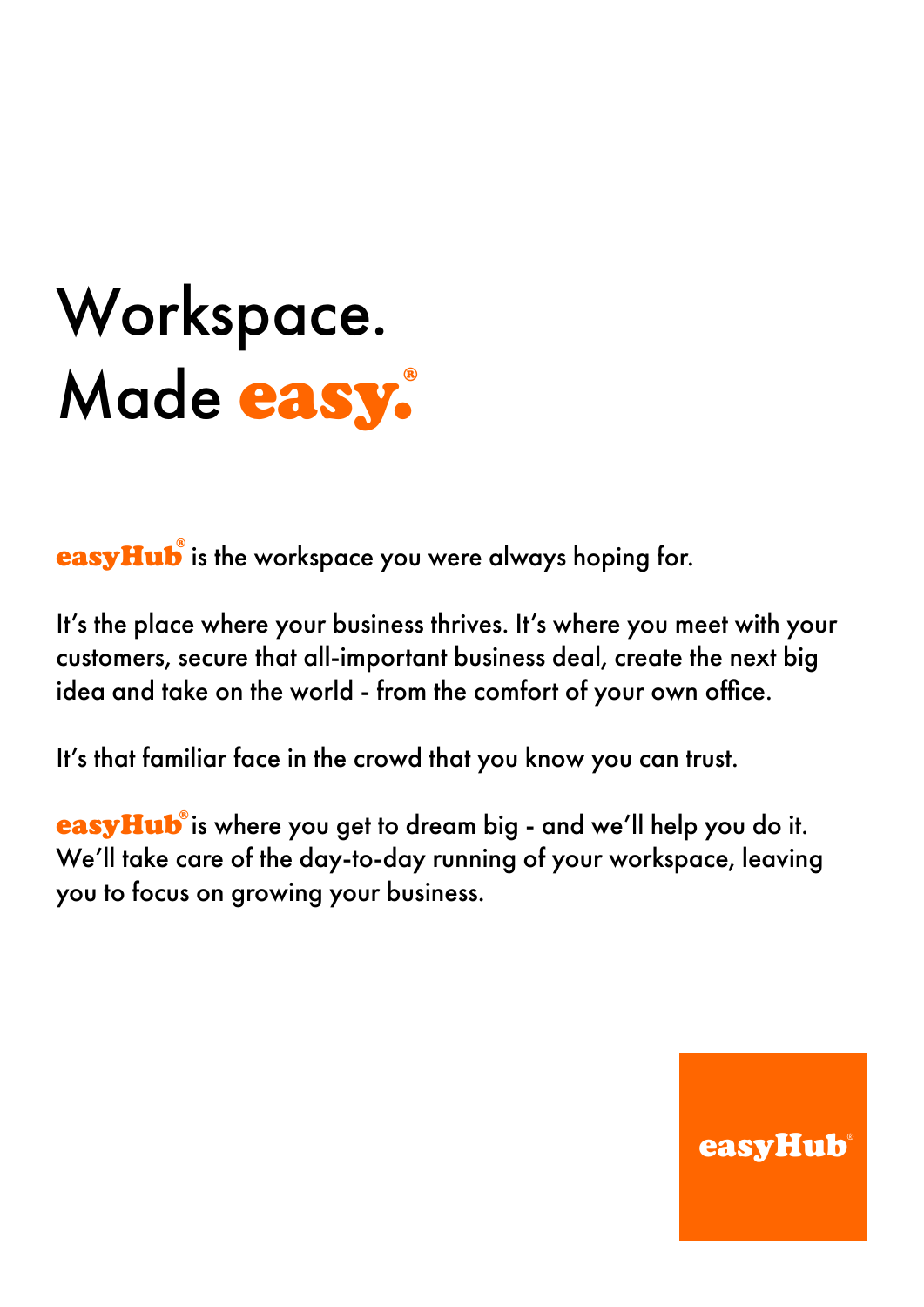# Workspace. Made easy.

easyHub is the workspace you were always hoping for.

It's the place where your business thrives. It's where you meet with your customers, secure that all-important business deal, create the next big idea and take on the world - from the comfort of your own office.

It's that familiar face in the crowd that you know you can trust.

easyHub<sup>®</sup>is where you get to dream big - and we'll help you do it. We'll take care of the day-to-day running of your workspace, leaving you to focus on growing your business.

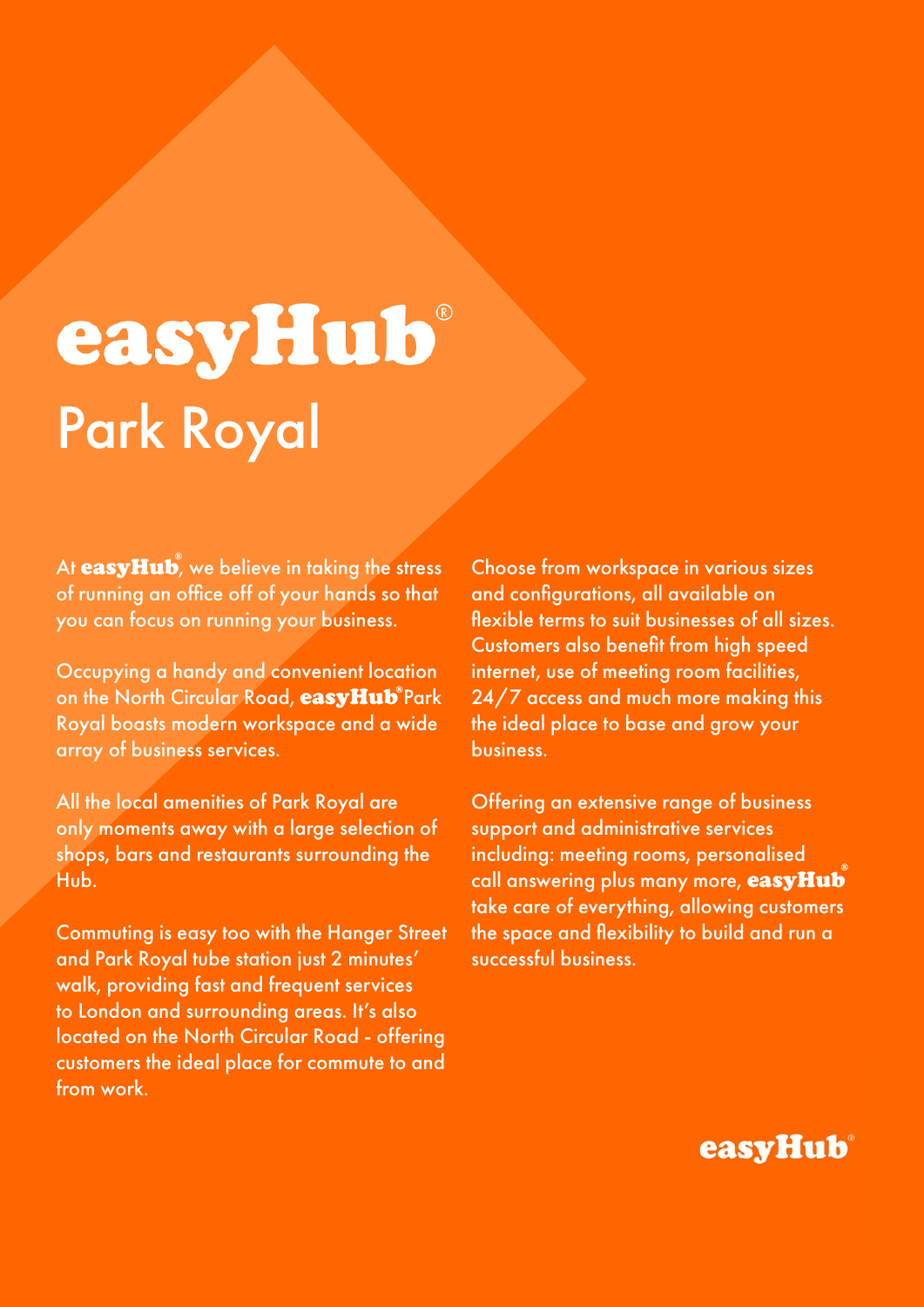## eacyH11 Park Royal Park Royal

At  $\mathop{\mathrm{easyHub}}\nolimits^{\!\bullet}$  we believe in taking the stress of running an office off of your hands so that you can focus on running your business.

Occupying a handy and convenient location on the North Circular Road, easyHub<sup>®</sup>Park Royal boasts modern workspace and a wide array of business services.

only moments away with a large selection of All the local amenities of Park Royal are shops, bars and restaurants surrounding the Hub.

Commuting is easy too with the Hanger Street and Park Royal tube station just 2 minutes' walk, providing fast and frequent services to London and surrounding areas. It's also located on the North Circular Road - offering customers the ideal place for commute to and from work.

Choose from workspace in various sizes and configurations, all available on flexible terms to suit businesses of all sizes. Customers also benefit from high speed internet, use of meeting room facilities, 24/7 access and much more making this the ideal place to base and grow your business.

Offering an extensive range of business support and administrative services including: meeting rooms, personalised call answering plus many more, easyHub take care of everything, allowing customers the space and flexibility to build and run a successful business.

easyHub®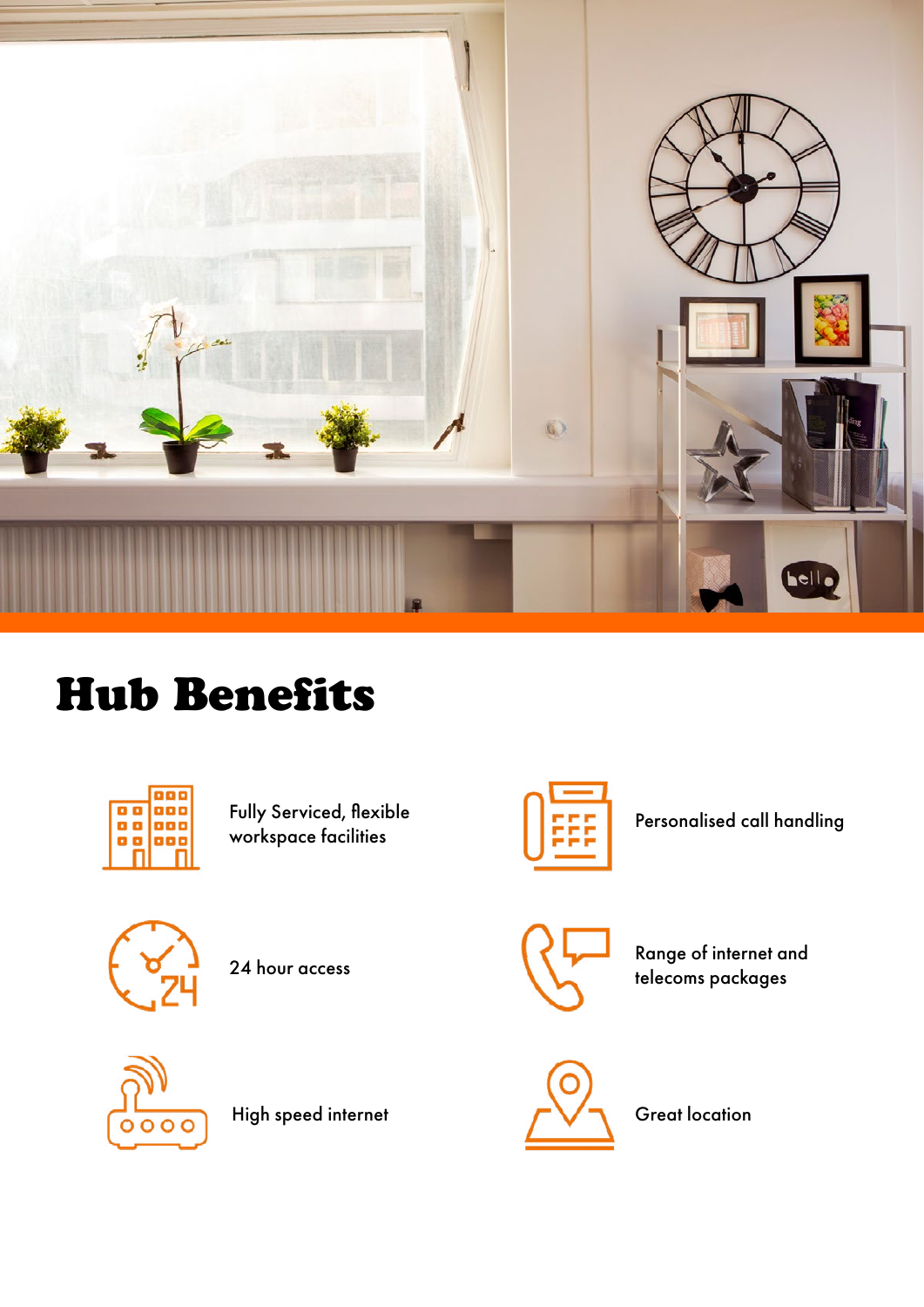

## Hub Benefits



Fully Serviced, flexible workspace facilities



Personalised call handling



24 hour access



Range of internet and telecoms packages



High speed internet



Great location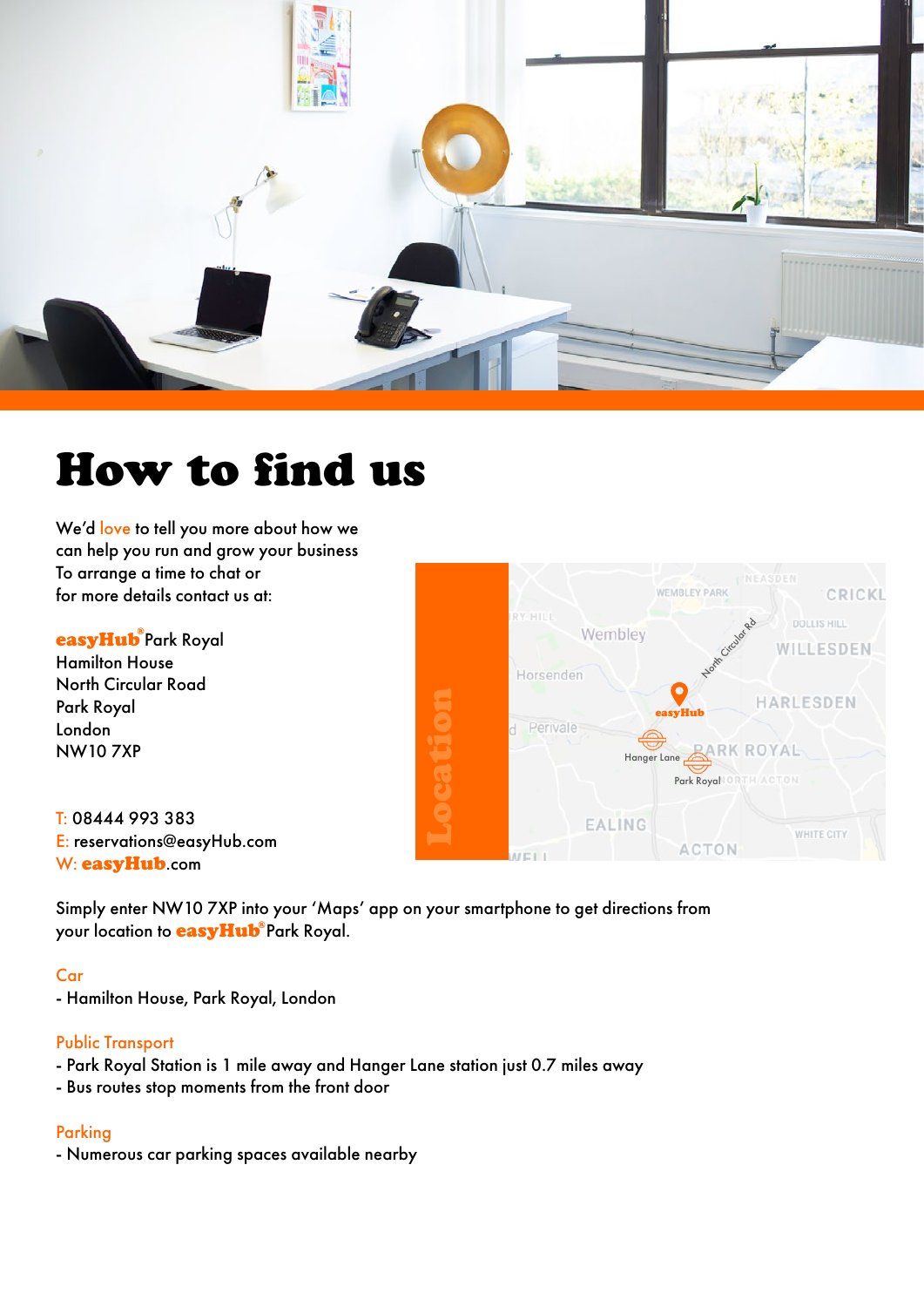

### How to find us

We'd love to tell you more about how we can help you run and grow your business To arrange a time to chat or for more details contact us at:

easyHub<sup>®</sup>Park Royal Hamilton House North Circular Road Park Royal London NW10 7XP

T: 08444 993 383 E: reservations@easyHub.com W: easyHub.com



Simply enter NW10 7XP into your 'Maps' app on your smartphone to get directions from your location to **easyHub**®Park Royal.

#### **Car**

- Hamilton House, Park Royal, London

#### Public Transport

- Park Royal Station is 1 mile away and Hanger Lane station just 0.7 miles away
- Bus routes stop moments from the front door

#### **Parking**

- Numerous car parking spaces available nearby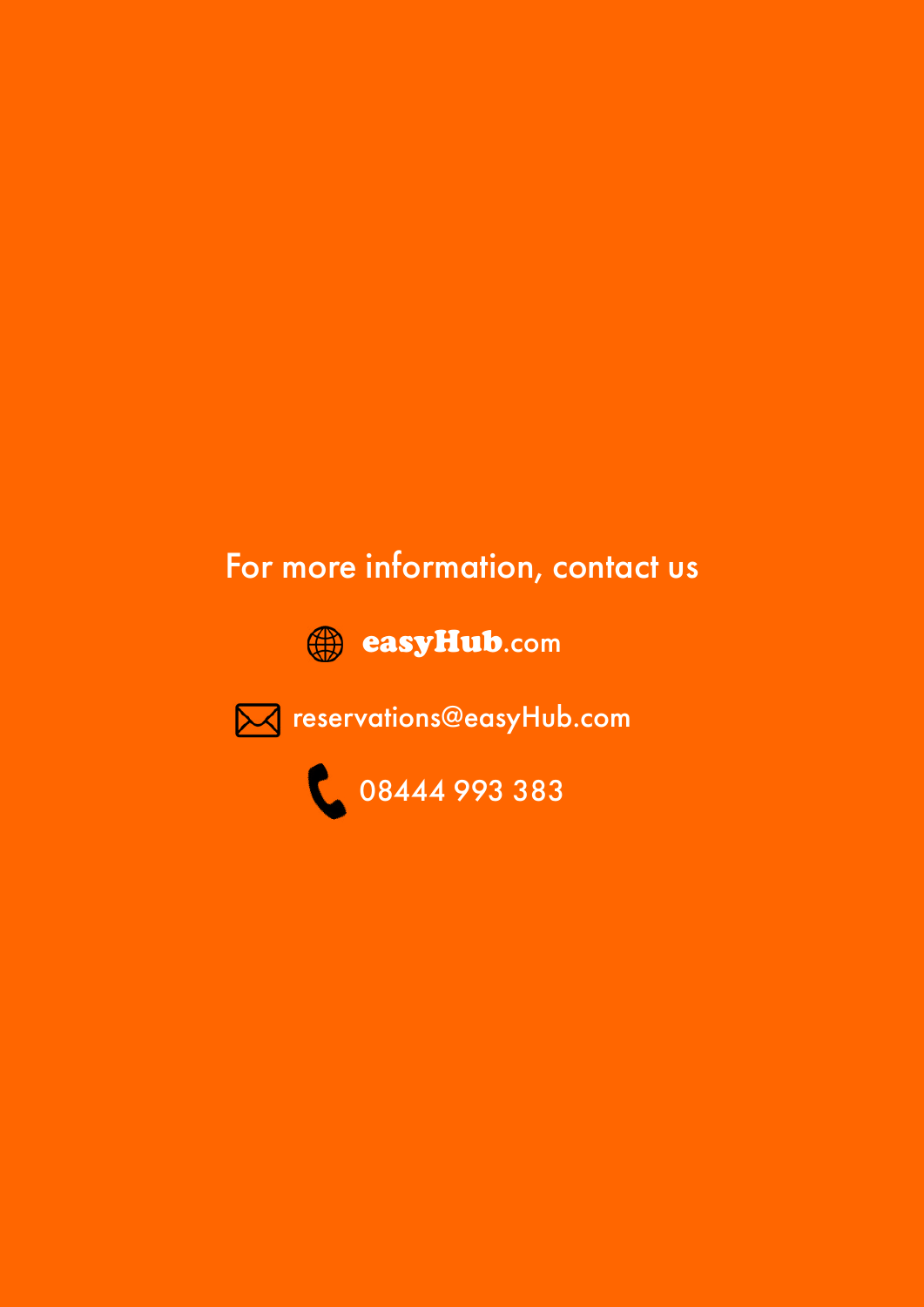### For more information, contact us



**easyHub.com** 

**X** reservations@easyHub.com



08444 993 383